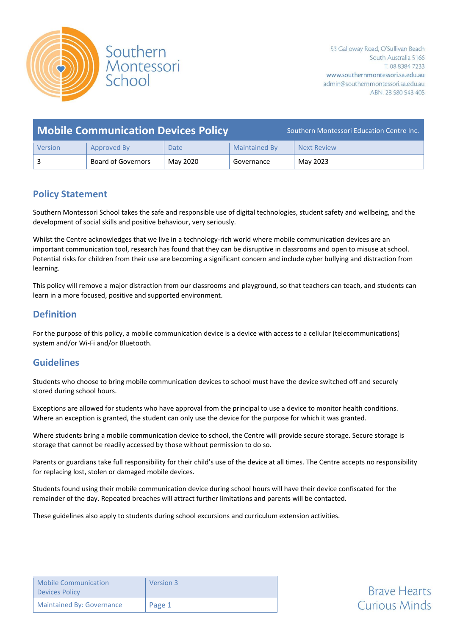

| <b>Mobile Communication Devices Policy</b> |                    |          | Southern Montessori Education Centre Inc. |                    |
|--------------------------------------------|--------------------|----------|-------------------------------------------|--------------------|
| Version                                    | Approved By        | Date     | <b>Maintained By</b>                      | <b>Next Review</b> |
|                                            | Board of Governors | May 2020 | Governance                                | May 2023           |

## **Policy Statement**

Southern Montessori School takes the safe and responsible use of digital technologies, student safety and wellbeing, and the development of social skills and positive behaviour, very seriously.

Whilst the Centre acknowledges that we live in a technology-rich world where mobile communication devices are an important communication tool, research has found that they can be disruptive in classrooms and open to misuse at school. Potential risks for children from their use are becoming a significant concern and include cyber bullying and distraction from learning.

This policy will remove a major distraction from our classrooms and playground, so that teachers can teach, and students can learn in a more focused, positive and supported environment.

## **Definition**

For the purpose of this policy, a mobile communication device is a device with access to a cellular (telecommunications) system and/or Wi-Fi and/or Bluetooth.

## **Guidelines**

Students who choose to bring mobile communication devices to school must have the device switched off and securely stored during school hours.

Exceptions are allowed for students who have approval from the principal to use a device to monitor health conditions. Where an exception is granted, the student can only use the device for the purpose for which it was granted.

Where students bring a mobile communication device to school, the Centre will provide secure storage. Secure storage is storage that cannot be readily accessed by those without permission to do so.

Parents or guardians take full responsibility for their child's use of the device at all times. The Centre accepts no responsibility for replacing lost, stolen or damaged mobile devices.

Students found using their mobile communication device during school hours will have their device confiscated for the remainder of the day. Repeated breaches will attract further limitations and parents will be contacted.

These guidelines also apply to students during school excursions and curriculum extension activities.

| <b>Mobile Communication</b><br><b>Devices Policy</b> | Version 3 |
|------------------------------------------------------|-----------|
| <b>Maintained By: Governance</b>                     | Page 1    |

**Brave Hearts Curious Minds**